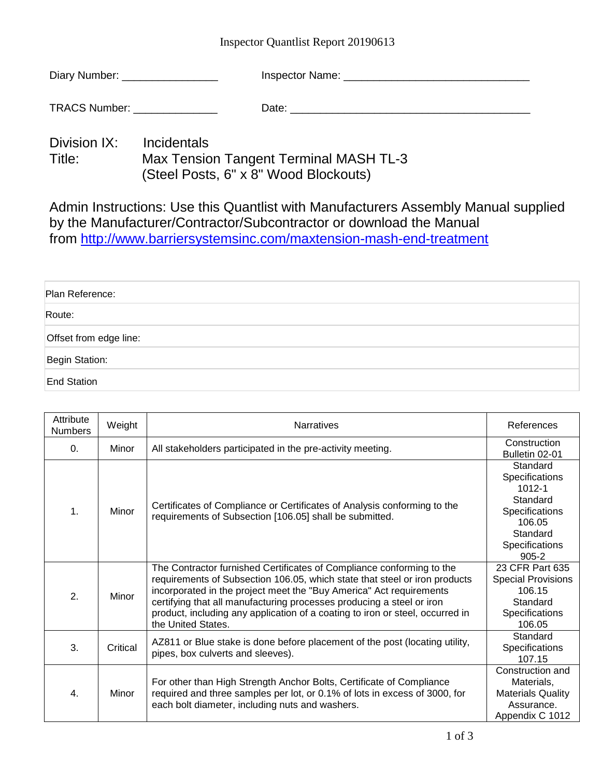## Inspector Quantlist Report 20190613

TRACS Number: \_\_\_\_\_\_\_\_\_\_\_\_\_\_ Date: \_\_\_\_\_\_\_\_\_\_\_\_\_\_\_\_\_\_\_\_\_\_\_\_\_\_\_\_\_\_\_\_\_\_\_\_\_\_\_\_

Division IX: Incidentals<br>Title: Max Tensio Max Tension Tangent Terminal MASH TL-3 (Steel Posts, 6" x 8" Wood Blockouts)

Admin Instructions: Use this Quantlist with Manufacturers Assembly Manual supplied by the Manufacturer/Contractor/Subcontractor or download the Manual from<http://www.barriersystemsinc.com/maxtension-mash-end-treatment>

| Plan Reference:        |  |
|------------------------|--|
| Route:                 |  |
| Offset from edge line: |  |
| Begin Station:         |  |
| <b>End Station</b>     |  |

| Attribute<br><b>Numbers</b> | Weight   | <b>Narratives</b>                                                                                                                                                                                                                                                                                                                                                                                          | References                                                                                                                  |
|-----------------------------|----------|------------------------------------------------------------------------------------------------------------------------------------------------------------------------------------------------------------------------------------------------------------------------------------------------------------------------------------------------------------------------------------------------------------|-----------------------------------------------------------------------------------------------------------------------------|
| $\Omega$ .                  | Minor    | All stakeholders participated in the pre-activity meeting.                                                                                                                                                                                                                                                                                                                                                 | Construction<br>Bulletin 02-01                                                                                              |
| 1.                          | Minor    | Certificates of Compliance or Certificates of Analysis conforming to the<br>requirements of Subsection [106.05] shall be submitted.                                                                                                                                                                                                                                                                        | Standard<br>Specifications<br>$1012 - 1$<br>Standard<br>Specifications<br>106.05<br>Standard<br>Specifications<br>$905 - 2$ |
| 2.                          | Minor    | The Contractor furnished Certificates of Compliance conforming to the<br>requirements of Subsection 106.05, which state that steel or iron products<br>incorporated in the project meet the "Buy America" Act requirements<br>certifying that all manufacturing processes producing a steel or iron<br>product, including any application of a coating to iron or steel, occurred in<br>the United States. | 23 CFR Part 635<br><b>Special Provisions</b><br>106.15<br>Standard<br>Specifications<br>106.05                              |
| 3.                          | Critical | AZ811 or Blue stake is done before placement of the post (locating utility,<br>pipes, box culverts and sleeves).                                                                                                                                                                                                                                                                                           | Standard<br>Specifications<br>107.15                                                                                        |
| 4.                          | Minor    | For other than High Strength Anchor Bolts, Certificate of Compliance<br>required and three samples per lot, or 0.1% of lots in excess of 3000, for<br>each bolt diameter, including nuts and washers.                                                                                                                                                                                                      | Construction and<br>Materials,<br><b>Materials Quality</b><br>Assurance.<br>Appendix C 1012                                 |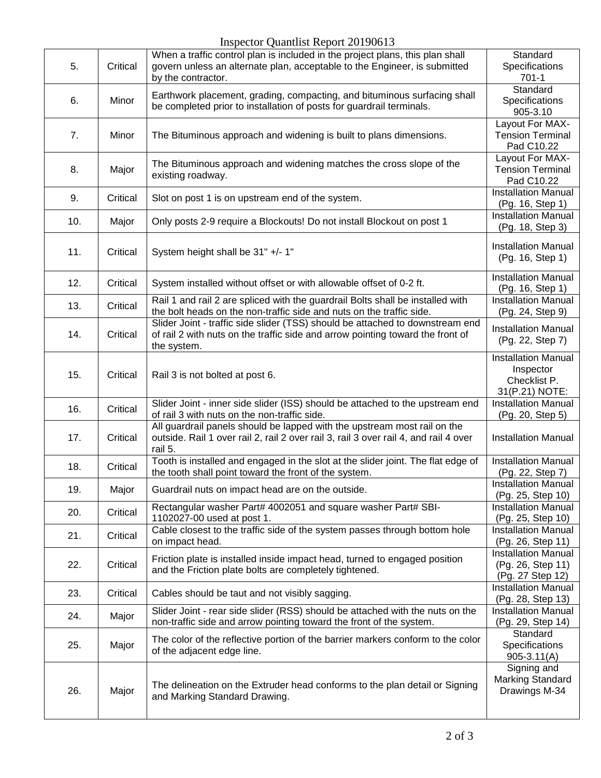## Inspector Quantlist Report 20190613

| 5.  | Critical | mopector guantinot response to 196019<br>When a traffic control plan is included in the project plans, this plan shall<br>govern unless an alternate plan, acceptable to the Engineer, is submitted<br>by the contractor. | Standard<br>Specifications<br>$701-1$                                     |
|-----|----------|---------------------------------------------------------------------------------------------------------------------------------------------------------------------------------------------------------------------------|---------------------------------------------------------------------------|
| 6.  | Minor    | Earthwork placement, grading, compacting, and bituminous surfacing shall<br>be completed prior to installation of posts for guardrail terminals.                                                                          | Standard<br>Specifications<br>905-3.10                                    |
| 7.  | Minor    | The Bituminous approach and widening is built to plans dimensions.                                                                                                                                                        | Layout For MAX-<br><b>Tension Terminal</b><br>Pad C10.22                  |
| 8.  | Major    | The Bituminous approach and widening matches the cross slope of the<br>existing roadway.                                                                                                                                  | Layout For MAX-<br><b>Tension Terminal</b><br>Pad C10.22                  |
| 9.  | Critical | Slot on post 1 is on upstream end of the system.                                                                                                                                                                          | <b>Installation Manual</b><br>(Pg. 16, Step 1)                            |
| 10. | Major    | Only posts 2-9 require a Blockouts! Do not install Blockout on post 1                                                                                                                                                     | <b>Installation Manual</b><br>(Pg. 18, Step 3)                            |
| 11. | Critical | System height shall be 31" +/- 1"                                                                                                                                                                                         | <b>Installation Manual</b><br>(Pg. 16, Step 1)                            |
| 12. | Critical | System installed without offset or with allowable offset of 0-2 ft.                                                                                                                                                       | <b>Installation Manual</b><br>(Pg. 16, Step 1)                            |
| 13. | Critical | Rail 1 and rail 2 are spliced with the guardrail Bolts shall be installed with<br>the bolt heads on the non-traffic side and nuts on the traffic side.                                                                    | <b>Installation Manual</b><br>(Pg. 24, Step 9)                            |
| 14. | Critical | Slider Joint - traffic side slider (TSS) should be attached to downstream end<br>of rail 2 with nuts on the traffic side and arrow pointing toward the front of<br>the system.                                            | <b>Installation Manual</b><br>(Pg. 22, Step 7)                            |
| 15. | Critical | Rail 3 is not bolted at post 6.                                                                                                                                                                                           | <b>Installation Manual</b><br>Inspector<br>Checklist P.<br>31(P.21) NOTE: |
| 16. | Critical | Slider Joint - inner side slider (ISS) should be attached to the upstream end<br>of rail 3 with nuts on the non-traffic side.                                                                                             | <b>Installation Manual</b><br>(Pg. 20, Step 5)                            |
| 17. | Critical | All guardrail panels should be lapped with the upstream most rail on the<br>outside. Rail 1 over rail 2, rail 2 over rail 3, rail 3 over rail 4, and rail 4 over<br>rail 5.                                               | <b>Installation Manual</b>                                                |
| 18. | Critical | Tooth is installed and engaged in the slot at the slider joint. The flat edge of<br>the tooth shall point toward the front of the system.                                                                                 | <b>Installation Manual</b><br>(Pg. 22, Step 7)                            |
| 19. | Major    | Guardrail nuts on impact head are on the outside.                                                                                                                                                                         | Installation Manual<br>(Pg. 25, Step 10)                                  |
| 20. | Critical | Rectangular washer Part# 4002051 and square washer Part# SBI-<br>1102027-00 used at post 1.                                                                                                                               | <b>Installation Manual</b><br>(Pg. 25, Step 10)                           |
| 21. | Critical | Cable closest to the traffic side of the system passes through bottom hole<br>on impact head.                                                                                                                             | <b>Installation Manual</b><br>(Pg. 26, Step 11)                           |
| 22. | Critical | Friction plate is installed inside impact head, turned to engaged position<br>and the Friction plate bolts are completely tightened.                                                                                      | <b>Installation Manual</b><br>(Pg. 26, Step 11)<br>(Pg. 27 Step 12)       |
| 23. | Critical | Cables should be taut and not visibly sagging.                                                                                                                                                                            | <b>Installation Manual</b><br>(Pg. 28, Step 13)                           |
| 24. | Major    | Slider Joint - rear side slider (RSS) should be attached with the nuts on the<br>non-traffic side and arrow pointing toward the front of the system.                                                                      | <b>Installation Manual</b><br>(Pg. 29, Step 14)                           |
| 25. | Major    | The color of the reflective portion of the barrier markers conform to the color<br>of the adjacent edge line.                                                                                                             | Standard<br>Specifications<br>$905 - 3.11(A)$                             |
| 26. | Major    | The delineation on the Extruder head conforms to the plan detail or Signing<br>and Marking Standard Drawing.                                                                                                              | Signing and<br><b>Marking Standard</b><br>Drawings M-34                   |